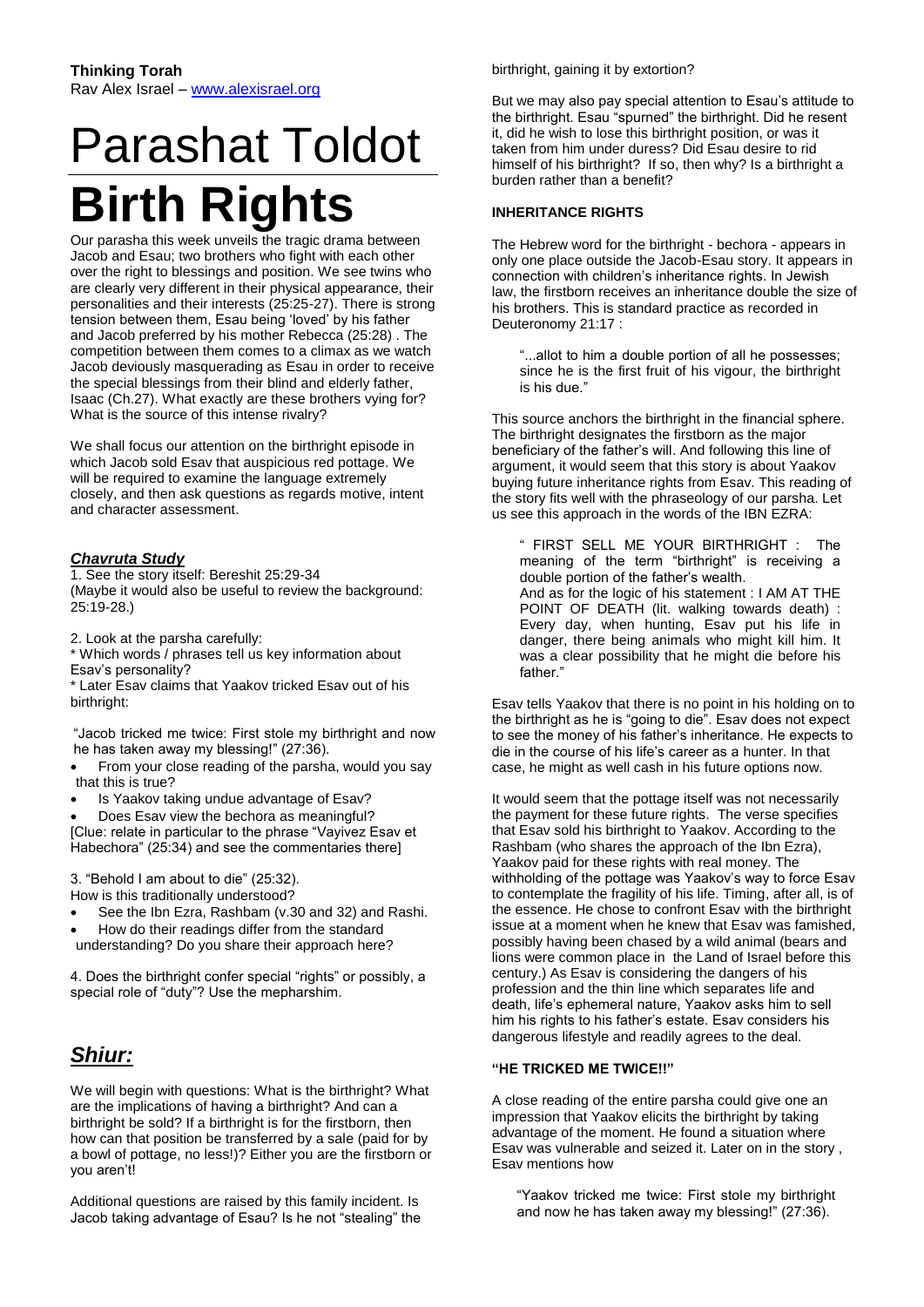# Parashat Toldot **Birth Rights**

Our parasha this week unveils the tragic drama between Jacob and Esau; two brothers who fight with each other over the right to blessings and position. We see twins who are clearly very different in their physical appearance, their personalities and their interests (25:25-27). There is strong tension between them, Esau being 'loved' by his father and Jacob preferred by his mother Rebecca (25:28) . The competition between them comes to a climax as we watch Jacob deviously masquerading as Esau in order to receive the special blessings from their blind and elderly father, Isaac (Ch.27). What exactly are these brothers vying for? What is the source of this intense rivalry?

We shall focus our attention on the birthright episode in which Jacob sold Esav that auspicious red pottage. We will be required to examine the language extremely closely, and then ask questions as regards motive, intent and character assessment.

# *Chavruta Study*

1. See the story itself: Bereshit 25:29-34 (Maybe it would also be useful to review the background: 25:19-28.)

2. Look at the parsha carefully:

\* Which words / phrases tell us key information about Esav's personality?

\* Later Esav claims that Yaakov tricked Esav out of his birthright:

"Jacob tricked me twice: First stole my birthright and now he has taken away my blessing!" (27:36).

 From your close reading of the parsha, would you say that this is true?

Is Yaakov taking undue advantage of Esav?

 Does Esav view the bechora as meaningful? [Clue: relate in particular to the phrase "Vayivez Esav et

Habechora" (25:34) and see the commentaries there]

3. "Behold I am about to die" (25:32). How is this traditionally understood?

- See the Ibn Ezra, Rashbam (v.30 and 32) and Rashi. How do their readings differ from the standard
- understanding? Do you share their approach here?

4. Does the birthright confer special "rights" or possibly, a special role of "duty"? Use the mepharshim.

# *Shiur:*

We will begin with questions: What is the birthright? What are the implications of having a birthright? And can a birthright be sold? If a birthright is for the firstborn, then how can that position be transferred by a sale (paid for by a bowl of pottage, no less!)? Either you are the firstborn or you aren't!

Additional questions are raised by this family incident. Is Jacob taking advantage of Esau? Is he not "stealing" the birthright, gaining it by extortion?

But we may also pay special attention to Esau's attitude to the birthright. Esau "spurned" the birthright. Did he resent it, did he wish to lose this birthright position, or was it taken from him under duress? Did Esau desire to rid himself of his birthright? If so, then why? Is a birthright a burden rather than a benefit?

# **INHERITANCE RIGHTS**

The Hebrew word for the birthright - bechora - appears in only one place outside the Jacob-Esau story. It appears in connection with children's inheritance rights. In Jewish law, the firstborn receives an inheritance double the size of his brothers. This is standard practice as recorded in Deuteronomy 21:17 :

"...allot to him a double portion of all he possesses; since he is the first fruit of his vigour, the birthright is his due."

This source anchors the birthright in the financial sphere. The birthright designates the firstborn as the major beneficiary of the father's will. And following this line of argument, it would seem that this story is about Yaakov buying future inheritance rights from Esav. This reading of the story fits well with the phraseology of our parsha. Let us see this approach in the words of the IBN EZRA:

" FIRST SELL ME YOUR BIRTHRIGHT : The meaning of the term "birthright" is receiving a double portion of the father's wealth. And as for the logic of his statement : I AM AT THE POINT OF DEATH (lit. walking towards death) : Every day, when hunting, Esav put his life in danger, there being animals who might kill him. It was a clear possibility that he might die before his father."

Esav tells Yaakov that there is no point in his holding on to the birthright as he is "going to die". Esav does not expect to see the money of his father's inheritance. He expects to die in the course of his life's career as a hunter. In that case, he might as well cash in his future options now.

It would seem that the pottage itself was not necessarily the payment for these future rights. The verse specifies that Esav sold his birthright to Yaakov. According to the Rashbam (who shares the approach of the Ibn Ezra), Yaakov paid for these rights with real money. The withholding of the pottage was Yaakov's way to force Esav to contemplate the fragility of his life. Timing, after all, is of the essence. He chose to confront Esav with the birthright issue at a moment when he knew that Esav was famished, possibly having been chased by a wild animal (bears and lions were common place in the Land of Israel before this century.) As Esav is considering the dangers of his profession and the thin line which separates life and death, life's ephemeral nature, Yaakov asks him to sell him his rights to his father's estate. Esav considers his dangerous lifestyle and readily agrees to the deal.

# **"HE TRICKED ME TWICE!!"**

A close reading of the entire parsha could give one an impression that Yaakov elicits the birthright by taking advantage of the moment. He found a situation where Esav was vulnerable and seized it. Later on in the story , Esav mentions how

"Yaakov tricked me twice: First stole my birthright and now he has taken away my blessing!" (27:36).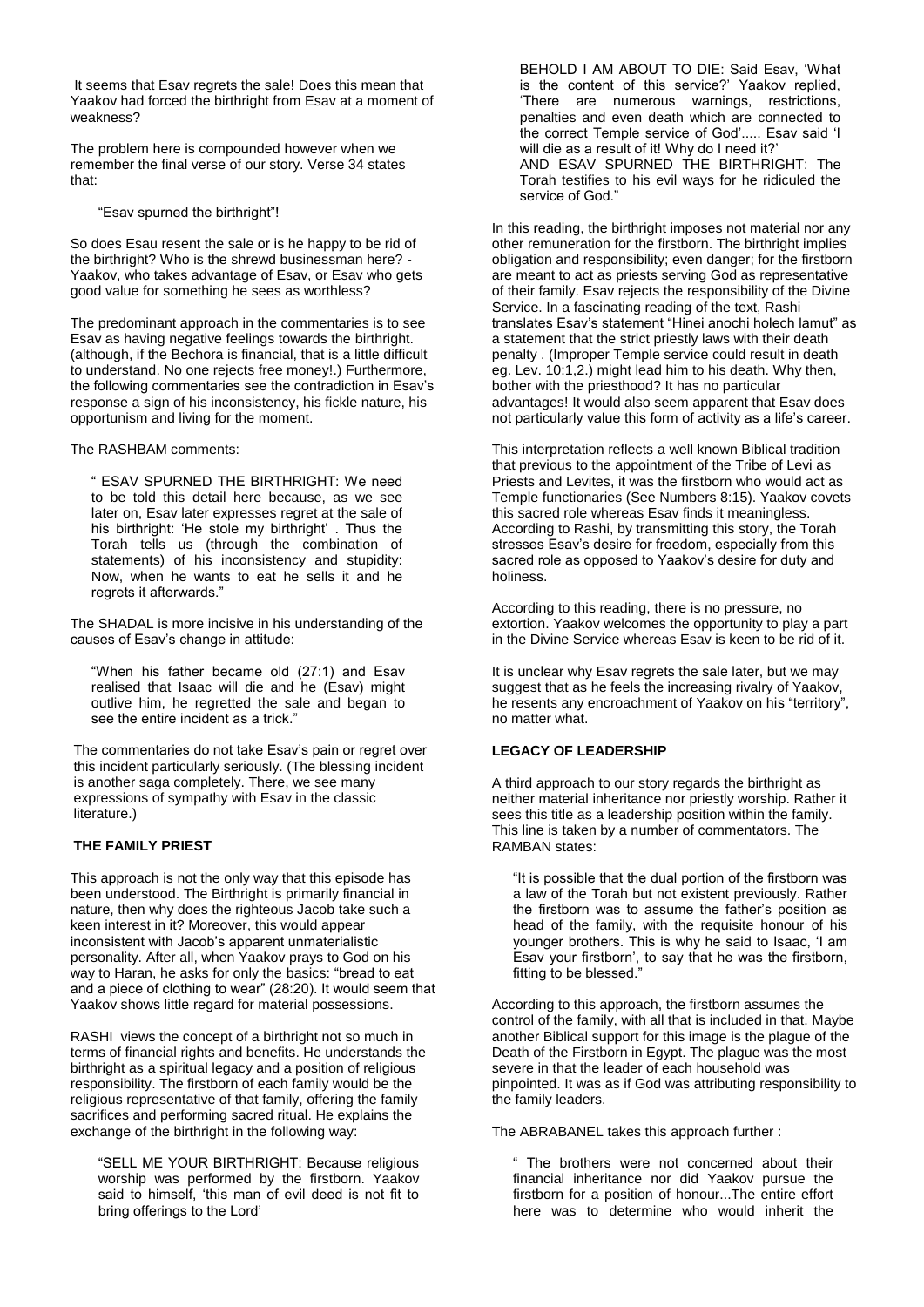It seems that Esav regrets the sale! Does this mean that Yaakov had forced the birthright from Esav at a moment of weakness?

The problem here is compounded however when we remember the final verse of our story. Verse 34 states that:

"Esav spurned the birthright"!

So does Esau resent the sale or is he happy to be rid of the birthright? Who is the shrewd businessman here? - Yaakov, who takes advantage of Esav, or Esav who gets good value for something he sees as worthless?

The predominant approach in the commentaries is to see Esav as having negative feelings towards the birthright. (although, if the Bechora is financial, that is a little difficult to understand. No one rejects free money!.) Furthermore, the following commentaries see the contradiction in Esav's response a sign of his inconsistency, his fickle nature, his opportunism and living for the moment.

The RASHBAM comments:

" ESAV SPURNED THE BIRTHRIGHT: We need to be told this detail here because, as we see later on, Esav later expresses regret at the sale of his birthright: 'He stole my birthright' . Thus the Torah tells us (through the combination of statements) of his inconsistency and stupidity: Now, when he wants to eat he sells it and he regrets it afterwards."

The SHADAL is more incisive in his understanding of the causes of Esav's change in attitude:

"When his father became old (27:1) and Esav realised that Isaac will die and he (Esav) might outlive him, he regretted the sale and began to see the entire incident as a trick."

The commentaries do not take Esav's pain or regret over this incident particularly seriously. (The blessing incident is another saga completely. There, we see many expressions of sympathy with Esav in the classic literature.)

# **THE FAMILY PRIEST**

This approach is not the only way that this episode has been understood. The Birthright is primarily financial in nature, then why does the righteous Jacob take such a keen interest in it? Moreover, this would appear inconsistent with Jacob's apparent unmaterialistic personality. After all, when Yaakov prays to God on his way to Haran, he asks for only the basics: "bread to eat and a piece of clothing to wear" (28:20). It would seem that Yaakov shows little regard for material possessions.

RASHI views the concept of a birthright not so much in terms of financial rights and benefits. He understands the birthright as a spiritual legacy and a position of religious responsibility. The firstborn of each family would be the religious representative of that family, offering the family sacrifices and performing sacred ritual. He explains the exchange of the birthright in the following way:

"SELL ME YOUR BIRTHRIGHT: Because religious worship was performed by the firstborn. Yaakov said to himself, 'this man of evil deed is not fit to bring offerings to the Lord'

BEHOLD I AM ABOUT TO DIE: Said Esav, 'What is the content of this service?' Yaakov replied, 'There are numerous warnings, restrictions, penalties and even death which are connected to the correct Temple service of God'..... Esav said 'I will die as a result of it! Why do I need it?' AND ESAV SPURNED THE BIRTHRIGHT: The Torah testifies to his evil ways for he ridiculed the service of God."

In this reading, the birthright imposes not material nor any other remuneration for the firstborn. The birthright implies obligation and responsibility; even danger; for the firstborn are meant to act as priests serving God as representative of their family. Esav rejects the responsibility of the Divine Service. In a fascinating reading of the text, Rashi translates Esav's statement "Hinei anochi holech lamut" as a statement that the strict priestly laws with their death penalty . (Improper Temple service could result in death eg. Lev. 10:1,2.) might lead him to his death. Why then, bother with the priesthood? It has no particular advantages! It would also seem apparent that Esav does not particularly value this form of activity as a life's career.

This interpretation reflects a well known Biblical tradition that previous to the appointment of the Tribe of Levi as Priests and Levites, it was the firstborn who would act as Temple functionaries (See Numbers 8:15). Yaakov covets this sacred role whereas Esav finds it meaningless. According to Rashi, by transmitting this story, the Torah stresses Esav's desire for freedom, especially from this sacred role as opposed to Yaakov's desire for duty and holiness.

According to this reading, there is no pressure, no extortion. Yaakov welcomes the opportunity to play a part in the Divine Service whereas Esav is keen to be rid of it.

It is unclear why Esav regrets the sale later, but we may suggest that as he feels the increasing rivalry of Yaakov, he resents any encroachment of Yaakov on his "territory", no matter what.

# **LEGACY OF LEADERSHIP**

A third approach to our story regards the birthright as neither material inheritance nor priestly worship. Rather it sees this title as a leadership position within the family. This line is taken by a number of commentators. The RAMBAN states:

"It is possible that the dual portion of the firstborn was a law of the Torah but not existent previously. Rather the firstborn was to assume the father's position as head of the family, with the requisite honour of his younger brothers. This is why he said to Isaac, 'I am Esav your firstborn', to say that he was the firstborn, fitting to be blessed."

According to this approach, the firstborn assumes the control of the family, with all that is included in that. Maybe another Biblical support for this image is the plague of the Death of the Firstborn in Egypt. The plague was the most severe in that the leader of each household was pinpointed. It was as if God was attributing responsibility to the family leaders.

The ABRABANEL takes this approach further :

" The brothers were not concerned about their financial inheritance nor did Yaakov pursue the firstborn for a position of honour...The entire effort here was to determine who would inherit the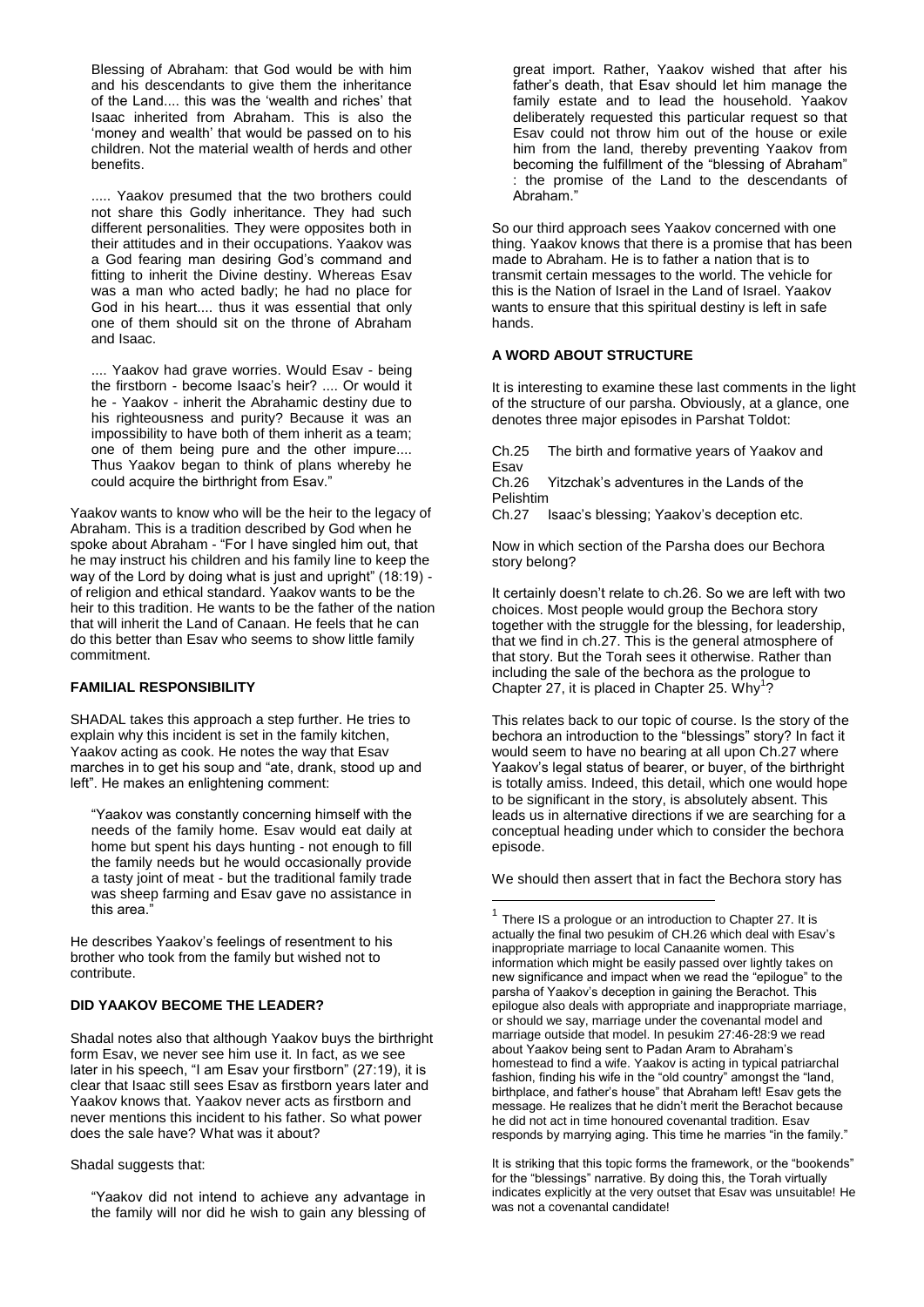Blessing of Abraham: that God would be with him and his descendants to give them the inheritance of the Land.... this was the 'wealth and riches' that Isaac inherited from Abraham. This is also the 'money and wealth' that would be passed on to his children. Not the material wealth of herds and other benefits.

..... Yaakov presumed that the two brothers could not share this Godly inheritance. They had such different personalities. They were opposites both in their attitudes and in their occupations. Yaakov was a God fearing man desiring God's command and fitting to inherit the Divine destiny. Whereas Esav was a man who acted badly; he had no place for God in his heart.... thus it was essential that only one of them should sit on the throne of Abraham and Isaac.

.... Yaakov had grave worries. Would Esav - being the firstborn - become Isaac's heir? .... Or would it he - Yaakov - inherit the Abrahamic destiny due to his righteousness and purity? Because it was an impossibility to have both of them inherit as a team; one of them being pure and the other impure.... Thus Yaakov began to think of plans whereby he could acquire the birthright from Esav."

Yaakov wants to know who will be the heir to the legacy of Abraham. This is a tradition described by God when he spoke about Abraham - "For I have singled him out, that he may instruct his children and his family line to keep the way of the Lord by doing what is just and upright" (18:19) of religion and ethical standard. Yaakov wants to be the heir to this tradition. He wants to be the father of the nation that will inherit the Land of Canaan. He feels that he can do this better than Esav who seems to show little family commitment.

#### **FAMILIAL RESPONSIBILITY**

SHADAL takes this approach a step further. He tries to explain why this incident is set in the family kitchen, Yaakov acting as cook. He notes the way that Esav marches in to get his soup and "ate, drank, stood up and left". He makes an enlightening comment:

"Yaakov was constantly concerning himself with the needs of the family home. Esav would eat daily at home but spent his days hunting - not enough to fill the family needs but he would occasionally provide a tasty joint of meat - but the traditional family trade was sheep farming and Esav gave no assistance in this area."

He describes Yaakov's feelings of resentment to his brother who took from the family but wished not to contribute.

#### **DID YAAKOV BECOME THE LEADER?**

Shadal notes also that although Yaakov buys the birthright form Esav, we never see him use it. In fact, as we see later in his speech, "I am Esav your firstborn" (27:19), it is clear that Isaac still sees Esav as firstborn years later and Yaakov knows that. Yaakov never acts as firstborn and never mentions this incident to his father. So what power does the sale have? What was it about?

#### Shadal suggests that:

"Yaakov did not intend to achieve any advantage in the family will nor did he wish to gain any blessing of

great import. Rather, Yaakov wished that after his father's death, that Esav should let him manage the family estate and to lead the household. Yaakov deliberately requested this particular request so that Esav could not throw him out of the house or exile him from the land, thereby preventing Yaakov from becoming the fulfillment of the "blessing of Abraham" : the promise of the Land to the descendants of Abraham."

So our third approach sees Yaakov concerned with one thing. Yaakov knows that there is a promise that has been made to Abraham. He is to father a nation that is to transmit certain messages to the world. The vehicle for this is the Nation of Israel in the Land of Israel. Yaakov wants to ensure that this spiritual destiny is left in safe hands.

#### **A WORD ABOUT STRUCTURE**

It is interesting to examine these last comments in the light of the structure of our parsha. Obviously, at a glance, one denotes three major episodes in Parshat Toldot:

Ch.25 The birth and formative years of Yaakov and Esav<br>Ch.26

Yitzchak's adventures in the Lands of the Pelishtim

Ch.27 Isaac's blessing; Yaakov's deception etc.

Now in which section of the Parsha does our Bechora story belong?

It certainly doesn't relate to ch.26. So we are left with two choices. Most people would group the Bechora story together with the struggle for the blessing, for leadership, that we find in ch.27. This is the general atmosphere of that story. But the Torah sees it otherwise. Rather than including the sale of the bechora as the prologue to Chapter 27, it is placed in Chapter 25. Why<sup>1</sup>?

This relates back to our topic of course. Is the story of the bechora an introduction to the "blessings" story? In fact it would seem to have no bearing at all upon Ch.27 where Yaakov's legal status of bearer, or buyer, of the birthright is totally amiss. Indeed, this detail, which one would hope to be significant in the story, is absolutely absent. This leads us in alternative directions if we are searching for a conceptual heading under which to consider the bechora episode.

We should then assert that in fact the Bechora story has

 $\overline{a}$ 

It is striking that this topic forms the framework, or the "bookends" for the "blessings" narrative. By doing this, the Torah virtually indicates explicitly at the very outset that Esav was unsuitable! He was not a covenantal candidate!

 $1$  There IS a prologue or an introduction to Chapter 27. It is actually the final two pesukim of CH.26 which deal with Esav's inappropriate marriage to local Canaanite women. This information which might be easily passed over lightly takes on new significance and impact when we read the "epilogue" to the parsha of Yaakov's deception in gaining the Berachot. This epilogue also deals with appropriate and inappropriate marriage, or should we say, marriage under the covenantal model and marriage outside that model. In pesukim 27:46-28:9 we read about Yaakov being sent to Padan Aram to Abraham's homestead to find a wife. Yaakov is acting in typical patriarchal fashion, finding his wife in the "old country" amongst the "land, birthplace, and father's house" that Abraham left! Esav gets the message. He realizes that he didn't merit the Berachot because he did not act in time honoured covenantal tradition. Esav responds by marrying aging. This time he marries "in the family."